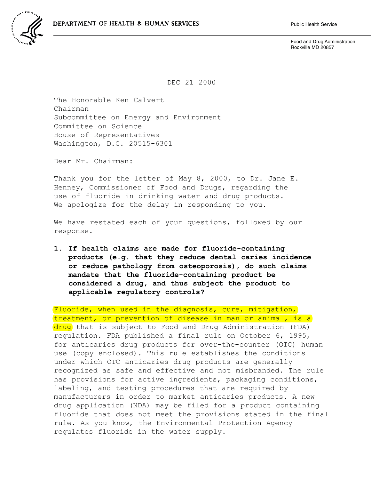

Food and Drug Administration Rockville MD 20857

DEC 21 2000

The Honorable Ken Calvert Chairman Subcommittee on Energy and Environment Committee on Science House of Representatives Washington, D.C. 20515-6301

Dear Mr. Chairman:

Thank you for the letter of May 8, 2000, to Dr. Jane E. Henney, Commissioner of Food and Drugs, regarding the use of fluoride in drinking water and drug products. We apologize for the delay in responding to you.

We have restated each of your questions, followed by our response.

**1. If health claims are made for fluoride-containing products (e.g. that they reduce dental caries incidence or reduce pathology from osteoporosis), do such claims mandate that the fluoride-containing product be considered a drug, and thus subject the product to applicable regulatory controls?**

Fluoride, when used in the diagnosis, cure, mitigation, treatment, or prevention of disease in man or animal, is a drug that is subject to Food and Drug Administration (FDA) regulation. FDA published a final rule on October 6, 1995, for anticaries drug products for over-the-counter (OTC) human use (copy enclosed). This rule establishes the conditions under which OTC anticaries drug products are generally recognized as safe and effective and not misbranded. The rule has provisions for active ingredients, packaging conditions, labeling, and testing procedures that are required by manufacturers in order to market anticaries products. A new drug application (NDA) may be filed for a product containing fluoride that does not meet the provisions stated in the final rule. As you know, the Environmental Protection Agency regulates fluoride in the water supply.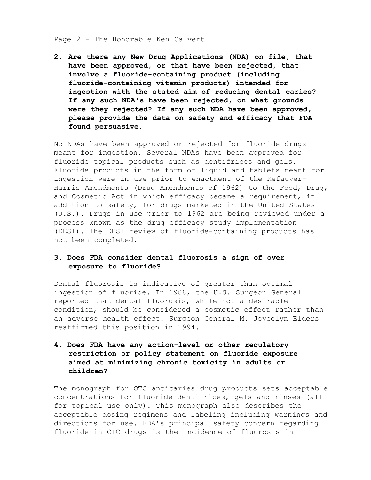## Page 2 - The Honorable Ken Calvert

**2. Are there any New Drug Applications (NDA) on file, that have been approved, or that have been rejected, that involve a fluoride-containing product (including fluoride-containing vitamin products) intended for ingestion with the stated aim of reducing dental caries? If any such NDA's have been rejected, on what grounds were they rejected? If any such NDA have been approved, please provide the data on safety and efficacy that FDA found persuasive.**

No NDAs have been approved or rejected for fluoride drugs meant for ingestion. Several NDAs have been approved for fluoride topical products such as dentifrices and gels. Fluoride products in the form of liquid and tablets meant for ingestion were in use prior to enactment of the Kefauver-Harris Amendments (Drug Amendments of 1962) to the Food, Drug, and Cosmetic Act in which efficacy became a requirement, in addition to safety, for drugs marketed in the United States (U.S.). Drugs in use prior to 1962 are being reviewed under a process known as the drug efficacy study implementation (DESI). The DESI review of fluoride-containing products has not been completed.

## **3. Does FDA consider dental fluorosis a sign of over exposure to fluoride?**

Dental fluorosis is indicative of greater than optimal ingestion of fluoride. In 1988, the U.S. Surgeon General reported that dental fluorosis, while not a desirable condition, should be considered a cosmetic effect rather than an adverse health effect. Surgeon General M. Joycelyn Elders reaffirmed this position in 1994.

## **4. Does FDA have any action-level or other regulatory restriction or policy statement on fluoride exposure aimed at minimizing chronic toxicity in adults or children?**

The monograph for OTC anticaries drug products sets acceptable concentrations for fluoride dentifrices, gels and rinses (all for topical use only). This monograph also describes the acceptable dosing regimens and labeling including warnings and directions for use. FDA's principal safety concern regarding fluoride in OTC drugs is the incidence of fluorosis in